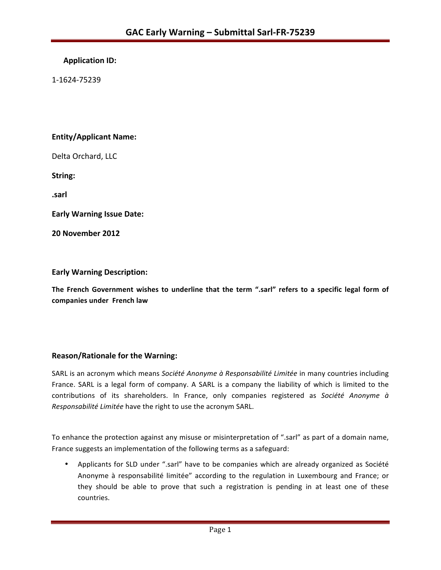## **Application ID:**

1-1624-75239 

## **Entity/Applicant Name:**

Delta Orchard, LLC

String:

**.sarl**

**Early Warning Issue Date:** 

**20 November 2012**

#### **Early Warning Description:**

The French Government wishes to underline that the term ".sarl" refers to a specific legal form of **companies under French law**

## **Reason/Rationale for the Warning:**

SARL is an acronym which means Société Anonyme à Responsabilité Limitée in many countries including France. SARL is a legal form of company. A SARL is a company the liability of which is limited to the contributions of its shareholders. In France, only companies registered as Société Anonyme à *Responsabilité Limitée* have the right to use the acronym SARL.

To enhance the protection against any misuse or misinterpretation of ".sarl" as part of a domain name, France suggests an implementation of the following terms as a safeguard:

• Applicants for SLD under ".sarl" have to be companies which are already organized as Société Anonyme à responsabilité limitée" according to the regulation in Luxembourg and France; or they should be able to prove that such a registration is pending in at least one of these countries.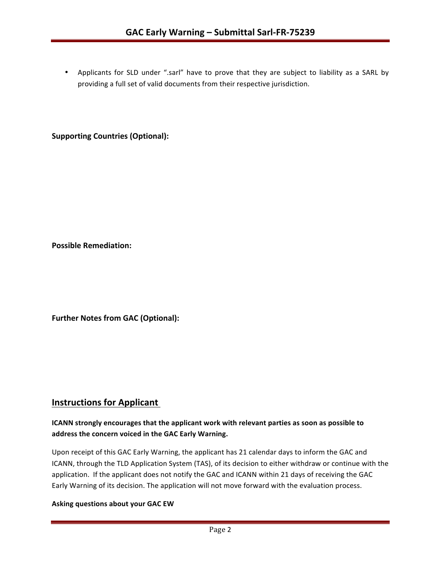• Applicants for SLD under ".sarl" have to prove that they are subject to liability as a SARL by providing a full set of valid documents from their respective jurisdiction.

### **Supporting Countries (Optional):**

**Possible Remediation:** 

**Further Notes from GAC (Optional):** 

## **Instructions for Applicant**

## **ICANN** strongly encourages that the applicant work with relevant parties as soon as possible to address the concern voiced in the GAC Early Warning.

Upon receipt of this GAC Early Warning, the applicant has 21 calendar days to inform the GAC and ICANN, through the TLD Application System (TAS), of its decision to either withdraw or continue with the application. If the applicant does not notify the GAC and ICANN within 21 days of receiving the GAC Early Warning of its decision. The application will not move forward with the evaluation process.

#### **Asking questions about your GAC EW**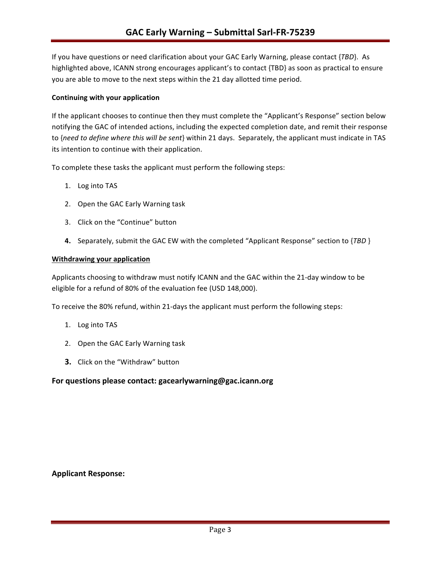If you have questions or need clarification about your GAC Early Warning, please contact {TBD}. As highlighted above, ICANN strong encourages applicant's to contact {TBD} as soon as practical to ensure you are able to move to the next steps within the 21 day allotted time period.

#### **Continuing with your application**

If the applicant chooses to continue then they must complete the "Applicant's Response" section below notifying the GAC of intended actions, including the expected completion date, and remit their response to {need to define where this will be sent} within 21 days. Separately, the applicant must indicate in TAS its intention to continue with their application.

To complete these tasks the applicant must perform the following steps:

- 1. Log into TAS
- 2. Open the GAC Early Warning task
- 3. Click on the "Continue" button
- **4.** Separately, submit the GAC EW with the completed "Applicant Response" section to {TBD }

#### **Withdrawing your application**

Applicants choosing to withdraw must notify ICANN and the GAC within the 21-day window to be eligible for a refund of 80% of the evaluation fee (USD 148,000).

To receive the 80% refund, within 21-days the applicant must perform the following steps:

- 1. Log into TAS
- 2. Open the GAC Early Warning task
- **3.** Click on the "Withdraw" button

#### For questions please contact: gacearlywarning@gac.icann.org

#### **Applicant Response:**